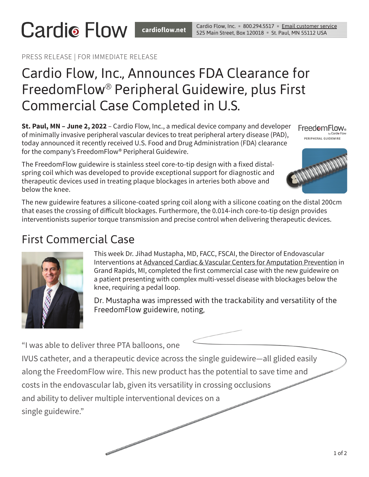#### PRESS RELEASE | FOR IMMEDIATE RELEASE

**Cardio Flow** 

# Cardio Flow, Inc., Announces FDA Clearance for FreedomFlow® Peripheral Guidewire, plus First Commercial Case Completed in U.S.

**St. Paul, MN – June 2, 2022** – Cardio Flow, Inc., a medical device company and developer of minimally invasive peripheral vascular devices to treat peripheral artery disease (PAD), today announced it recently received U.S. Food and Drug Administration (FDA) clearance for the company's FreedomFlow® Peripheral Guidewire.

The FreedomFlow guidewire is stainless steel core-to-tip design with a fixed distalspring coil which was developed to provide exceptional support for diagnostic and therapeutic devices used in treating plaque blockages in arteries both above and below the knee.

FreedomFlow. .<br>PERIPHERAL GUIDEWIRE



The new guidewire features a silicone-coated spring coil along with a silicone coating on the distal 200cm that eases the crossing of difficult blockages. Furthermore, the 0.014-inch core-to-tip design provides interventionists superior torque transmission and precise control when delivering therapeutic devices.

## First Commercial Case



This week Dr. Jihad Mustapha, MD, FACC, FSCAI, the Director of Endovascular Interventions at [Advanced Cardiac & Vascular Centers for Amputation Prevention](https://acvcenters.com/) in Grand Rapids, MI, completed the first commercial case with the new guidewire on a patient presenting with complex multi-vessel disease with blockages below the knee, requiring a pedal loop.

Dr. Mustapha was impressed with the trackability and versatility of the FreedomFlow guidewire, noting,

"I was able to deliver three PTA balloons, one

IVUS catheter, and a therapeutic device across the single guidewire—all glided easily along the FreedomFlow wire. This new product has the potential to save time and costs in the endovascular lab, given its versatility in crossing occlusions and ability to deliver multiple interventional devices on a single guidewire."

**Contractor and Contractor and Contractor and Contractor and Contractor and Contractor and Contractor and Contractor**